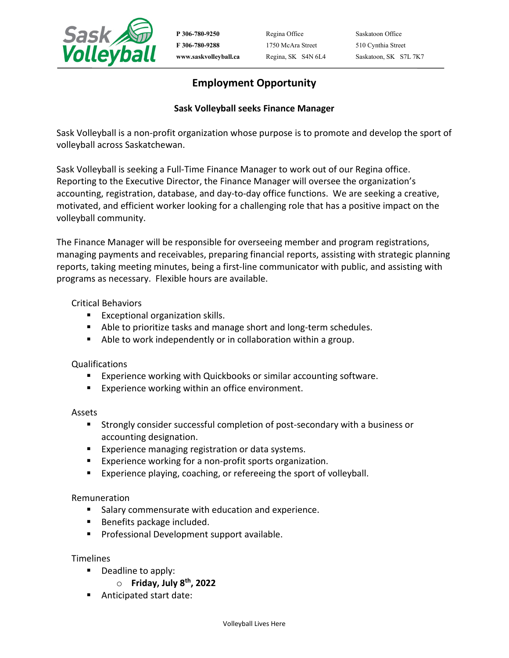

**P 306-780-9250** Regina Office Saskatoon Office **F 306-780-9288** 1750 McAra Street 510 Cynthia Street

**www.saskvolleyball.ca** Regina, SK S4N 6L4 Saskatoon, SK S7L 7K7

# **Employment Opportunity**

## **Sask Volleyball seeks Finance Manager**

Sask Volleyball is a non-profit organization whose purpose is to promote and develop the sport of volleyball across Saskatchewan.

Sask Volleyball is seeking a Full-Time Finance Manager to work out of our Regina office. Reporting to the Executive Director, the Finance Manager will oversee the organization's accounting, registration, database, and day-to-day office functions. We are seeking a creative, motivated, and efficient worker looking for a challenging role that has a positive impact on the volleyball community.

The Finance Manager will be responsible for overseeing member and program registrations, managing payments and receivables, preparing financial reports, assisting with strategic planning reports, taking meeting minutes, being a first-line communicator with public, and assisting with programs as necessary. Flexible hours are available.

## Critical Behaviors

- **Exceptional organization skills.**
- Able to prioritize tasks and manage short and long-term schedules.
- Able to work independently or in collaboration within a group.

## Qualifications

- **Experience working with Quickbooks or similar accounting software.**
- **Experience working within an office environment.**

#### Assets

- Strongly consider successful completion of post-secondary with a business or accounting designation.
- **Experience managing registration or data systems.**
- **Experience working for a non-profit sports organization.**
- **Experience playing, coaching, or refereeing the sport of volleyball.**

#### Remuneration

- **Salary commensurate with education and experience.**
- Benefits package included.
- **Professional Development support available.**

#### **Timelines**

- Deadline to apply:
	- o **Friday, July 8th, 2022**
- Anticipated start date: